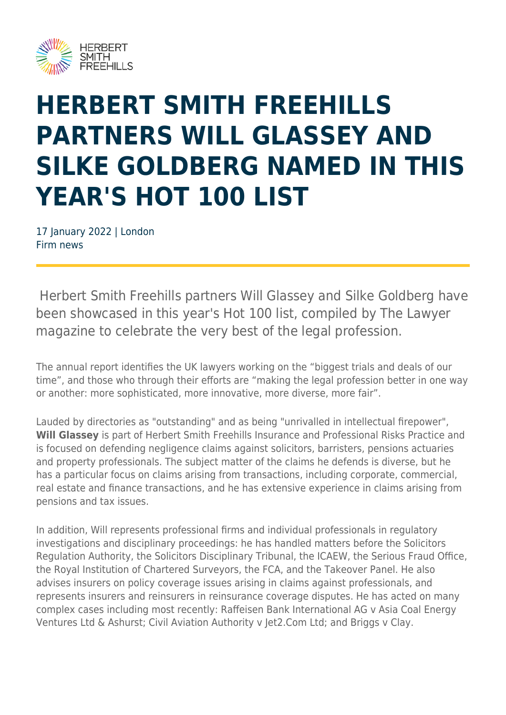

## **HERBERT SMITH FREEHILLS PARTNERS WILL GLASSEY AND SILKE GOLDBERG NAMED IN THIS YEAR'S HOT 100 LIST**

17 January 2022 | London Firm news

 Herbert Smith Freehills partners Will Glassey and Silke Goldberg have been showcased in this year's Hot 100 list, compiled by The Lawyer magazine to celebrate the very best of the legal profession.

The annual report identifies the UK lawyers working on the "biggest trials and deals of our time", and those who through their efforts are "making the legal profession better in one way or another: more sophisticated, more innovative, more diverse, more fair".

Lauded by directories as "outstanding" and as being "unrivalled in intellectual firepower", **Will Glassey** is part of Herbert Smith Freehills Insurance and Professional Risks Practice and is focused on defending negligence claims against solicitors, barristers, pensions actuaries and property professionals. The subject matter of the claims he defends is diverse, but he has a particular focus on claims arising from transactions, including corporate, commercial, real estate and finance transactions, and he has extensive experience in claims arising from pensions and tax issues.

In addition, Will represents professional firms and individual professionals in regulatory investigations and disciplinary proceedings: he has handled matters before the Solicitors Regulation Authority, the Solicitors Disciplinary Tribunal, the ICAEW, the Serious Fraud Office, the Royal Institution of Chartered Surveyors, the FCA, and the Takeover Panel. He also advises insurers on policy coverage issues arising in claims against professionals, and represents insurers and reinsurers in reinsurance coverage disputes. He has acted on many complex cases including most recently: Raffeisen Bank International AG v Asia Coal Energy Ventures Ltd & Ashurst; Civil Aviation Authority v Jet2.Com Ltd; and Briggs v Clay.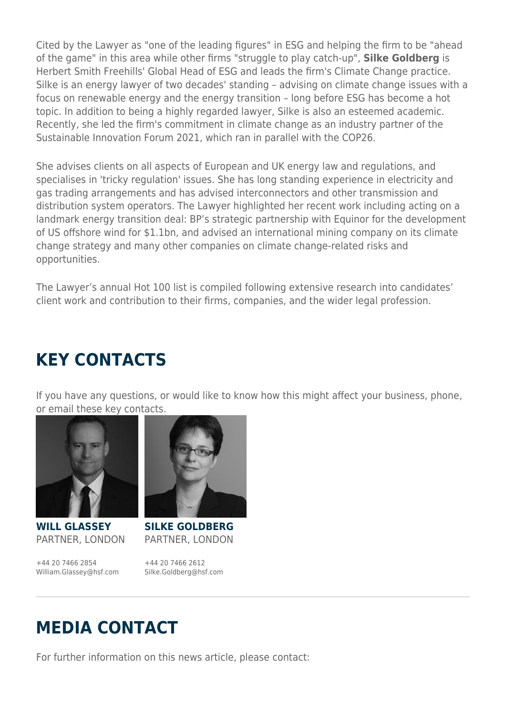Cited by the Lawyer as "one of the leading figures" in ESG and helping the firm to be "ahead of the game" in this area while other firms "struggle to play catch-up", **Silke Goldberg** is Herbert Smith Freehills' Global Head of ESG and leads the firm's Climate Change practice. Silke is an energy lawyer of two decades' standing – advising on climate change issues with a focus on renewable energy and the energy transition – long before ESG has become a hot topic. In addition to being a highly regarded lawyer, Silke is also an esteemed academic. Recently, she led the firm's commitment in climate change as an industry partner of the Sustainable Innovation Forum 2021, which ran in parallel with the COP26.

She advises clients on all aspects of European and UK energy law and regulations, and specialises in 'tricky regulation' issues. She has long standing experience in electricity and gas trading arrangements and has advised interconnectors and other transmission and distribution system operators. The Lawyer highlighted her recent work including acting on a landmark energy transition deal: BP's strategic partnership with Equinor for the development of US offshore wind for \$1.1bn, and advised an international mining company on its climate change strategy and many other companies on climate change-related risks and opportunities.

The Lawyer's annual Hot 100 list is compiled following extensive research into candidates' client work and contribution to their firms, companies, and the wider legal profession.

## **KEY CONTACTS**

If you have any questions, or would like to know how this might affect your business, phone, or email these key contacts.



**WILL GLASSEY** PARTNER, LONDON

+44 20 7466 2854 William.Glassey@hsf.com



**SILKE GOLDBERG** PARTNER, LONDON

+44 20 7466 2612 Silke.Goldberg@hsf.com

## **MEDIA CONTACT**

For further information on this news article, please contact: